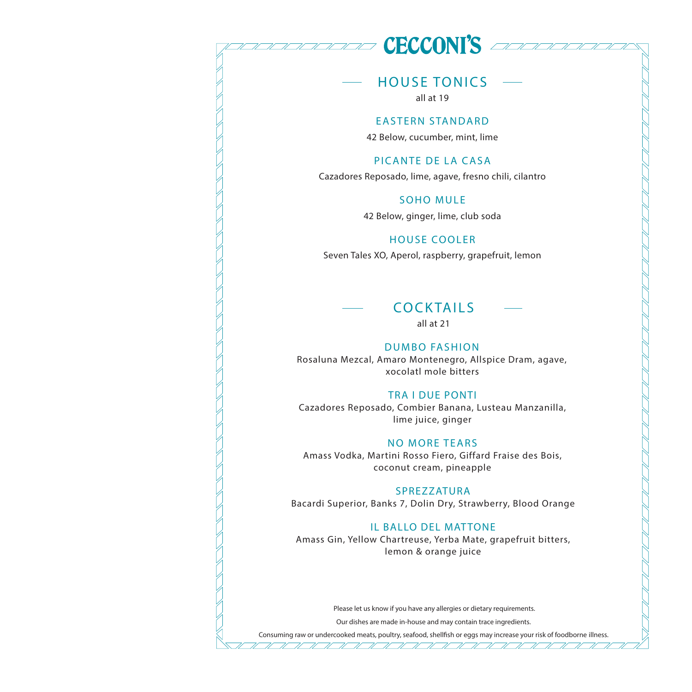## **CECCONI'S** account

## HOUSE TONICS

all at 19

#### EASTERN STANDARD

42 Below, cucumber, mint, lime

#### PICANTE DE LA CASA

Cazadores Reposado, lime, agave, fresno chili, cilantro

#### SOHO MULE

42 Below, ginger, lime, club soda

#### HOUSE COOLER

Seven Tales XO, Aperol, raspberry, grapefruit, lemon



all at 21

#### DUMBO FASHION

Rosaluna Mezcal, Amaro Montenegro, Allspice Dram, agave, xocolatl mole bitters

#### TRA I DUE PONTI

Cazadores Reposado, Combier Banana, Lusteau Manzanilla, lime juice, ginger

#### NO MORE TEARS

Amass Vodka, Martini Rosso Fiero, Giffard Fraise des Bois, coconut cream, pineapple

#### SPREZZATURA

Bacardi Superior, Banks 7, Dolin Dry, Strawberry, Blood Orange

#### IL BALLO DEL MATTONE

Amass Gin, Yellow Chartreuse, Yerba Mate, grapefruit bitters, lemon & orange juice

Please let us know if you have any allergies or dietary requirements.

Our dishes are made in-house and may contain trace ingredients. <u>UN NIVERSI NI NIVERSI NI NIVERSI NI NIVER</u>

Consuming raw or undercooked meats, poultry, seafood, shellfish or eggs may increase your risk of foodborne illness.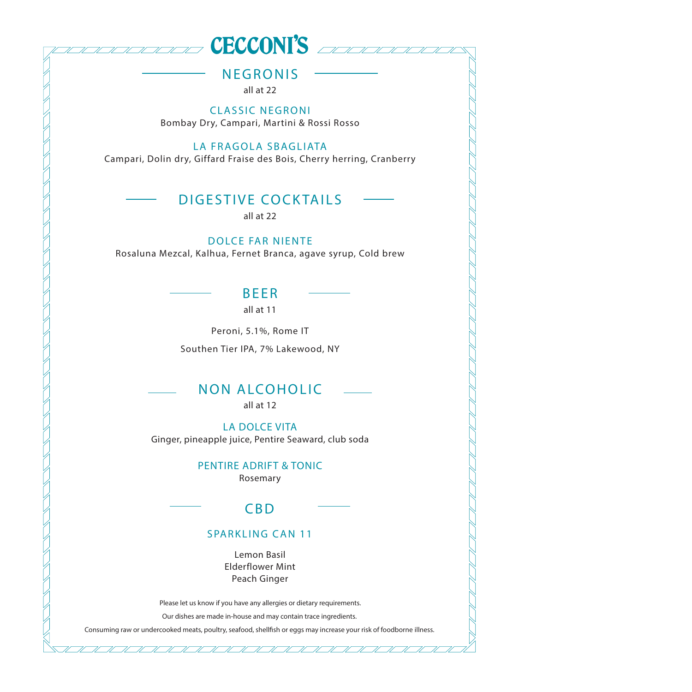

NEGRONIS

all at 22

**CLASSIC NEGRONI** Bombay Dry, Campari, Martini & Rossi Rosso

#### LA FRAGOLA SBAGLIATA

Campari, Dolin dry, Giffard Fraise des Bois, Cherry herring, Cranberry

#### DIGESTIVE COCKTAILS

all at 22

#### DOLCE FAR NIENTE

Rosaluna Mezcal, Kalhua, Fernet Branca, agave syrup, Cold brew

BEER all at 11

Peroni, 5.1%, Rome IT

Southen Tier IPA, 7% Lakewood, NY

## NON ALCOHOLIC

all at 12

LA DOLCE VITA Ginger, pineapple juice, Pentire Seaward, club soda

> PENTIRE ADRIFT & TONIC Rosemary

CBD

#### SPARKLING CAN 11

Lemon Basil Elderflower Mint Peach Ginger

Please let us know if you have any allergies or dietary requirements.

Our dishes are made in-house and may contain trace ingredients.

Consuming raw or undercooked meats, poultry, seafood, shellfish or eggs may increase your risk of foodborne illness.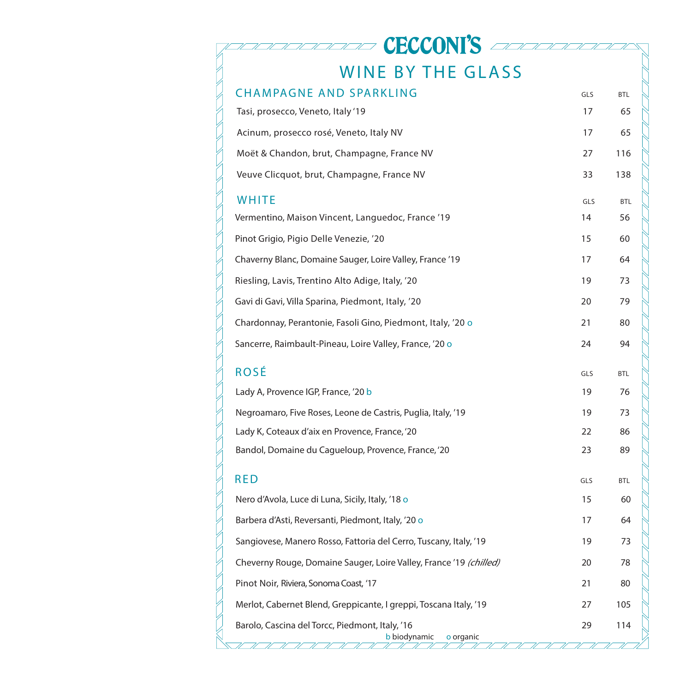| <b>ECCONI'S</b>                                                              |     |            |
|------------------------------------------------------------------------------|-----|------------|
| <b>WINE BY THE GLASS</b>                                                     |     |            |
| <b>CHAMPAGNE AND SPARKLING</b>                                               | GLS | <b>BTL</b> |
| Tasi, prosecco, Veneto, Italy '19                                            | 17  | 65         |
| Acinum, prosecco rosé, Veneto, Italy NV                                      | 17  | 65         |
| Moët & Chandon, brut, Champagne, France NV                                   | 27  | 116        |
| Veuve Clicquot, brut, Champagne, France NV                                   | 33  | 138        |
| <b>WHITE</b>                                                                 | GLS | <b>BTL</b> |
| Vermentino, Maison Vincent, Languedoc, France '19                            | 14  | 56         |
| Pinot Grigio, Pigio Delle Venezie, '20                                       | 15  | 60         |
| Chaverny Blanc, Domaine Sauger, Loire Valley, France '19                     | 17  | 64         |
| Riesling, Lavis, Trentino Alto Adige, Italy, '20                             | 19  | 73         |
| Gavi di Gavi, Villa Sparina, Piedmont, Italy, '20                            | 20  | 79         |
| Chardonnay, Perantonie, Fasoli Gino, Piedmont, Italy, '20 o                  | 21  | 80         |
| Sancerre, Raimbault-Pineau, Loire Valley, France, '20 o                      | 24  | 94         |
| ROSÉ                                                                         | GLS | <b>BTL</b> |
| Lady A, Provence IGP, France, '20 b                                          | 19  | 76         |
| Negroamaro, Five Roses, Leone de Castris, Puglia, Italy, '19                 | 19  | 73         |
| Lady K, Coteaux d'aix en Provence, France, '20                               | 22  | 86         |
| Bandol, Domaine du Cagueloup, Provence, France, '20                          | 23  | 89         |
| <b>RED</b>                                                                   | GLS | <b>BTL</b> |
| Nero d'Avola, Luce di Luna, Sicily, Italy, '18 o                             | 15  | 60         |
| Barbera d'Asti, Reversanti, Piedmont, Italy, '20 o                           | 17  | 64         |
| Sangiovese, Manero Rosso, Fattoria del Cerro, Tuscany, Italy, '19            | 19  | 73         |
| Cheverny Rouge, Domaine Sauger, Loire Valley, France '19 (chilled)           | 20  | 78         |
| Pinot Noir, Riviera, Sonoma Coast, '17                                       | 21  | 80         |
| Merlot, Cabernet Blend, Greppicante, I greppi, Toscana Italy, '19            | 27  | 105        |
| Barolo, Cascina del Torcc, Piedmont, Italy, '16<br>b biodynamic<br>o organic | 29  | 114        |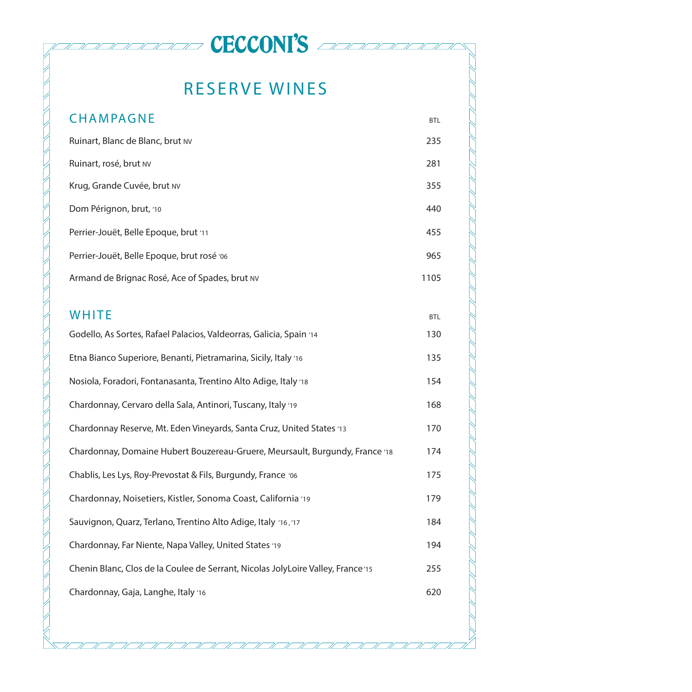## RESERVE WINES

**CECCONI'S** additional

| <b>CHAMPAGNE</b>                                                                 | <b>BTL</b> |  |
|----------------------------------------------------------------------------------|------------|--|
| Ruinart, Blanc de Blanc, brut NV                                                 | 235        |  |
| Ruinart, rosé, brut NV                                                           | 281        |  |
| Krug, Grande Cuvée, brut NV                                                      | 355        |  |
| Dom Pérignon, brut, '10                                                          | 440        |  |
| Perrier-Jouët, Belle Epoque, brut '11                                            | 455        |  |
| Perrier-Jouët, Belle Epoque, brut rosé '06                                       | 965        |  |
| Armand de Brignac Rosé, Ace of Spades, brut NV                                   | 1105       |  |
|                                                                                  |            |  |
| <b>WHITE</b>                                                                     | <b>BTL</b> |  |
| Godello, As Sortes, Rafael Palacios, Valdeorras, Galicia, Spain '14              | 130        |  |
| Etna Bianco Superiore, Benanti, Pietramarina, Sicily, Italy '16                  | 135        |  |
| Nosiola, Foradori, Fontanasanta, Trentino Alto Adige, Italy '18                  | 154        |  |
| Chardonnay, Cervaro della Sala, Antinori, Tuscany, Italy '19                     | 168        |  |
| Chardonnay Reserve, Mt. Eden Vineyards, Santa Cruz, United States '13            | 170        |  |
| Chardonnay, Domaine Hubert Bouzereau-Gruere, Meursault, Burgundy, France '18     | 174        |  |
| Chablis, Les Lys, Roy-Prevostat & Fils, Burgundy, France '06                     | 175        |  |
| Chardonnay, Noisetiers, Kistler, Sonoma Coast, California '19                    | 179        |  |
| Sauvignon, Quarz, Terlano, Trentino Alto Adige, Italy '16, '17                   | 184        |  |
| Chardonnay, Far Niente, Napa Valley, United States '19                           | 194        |  |
| Chenin Blanc, Clos de la Coulee de Serrant, Nicolas JolyLoire Valley, France '15 | 255        |  |
| Chardonnay, Gaja, Langhe, Italy '16                                              | 620        |  |
|                                                                                  |            |  |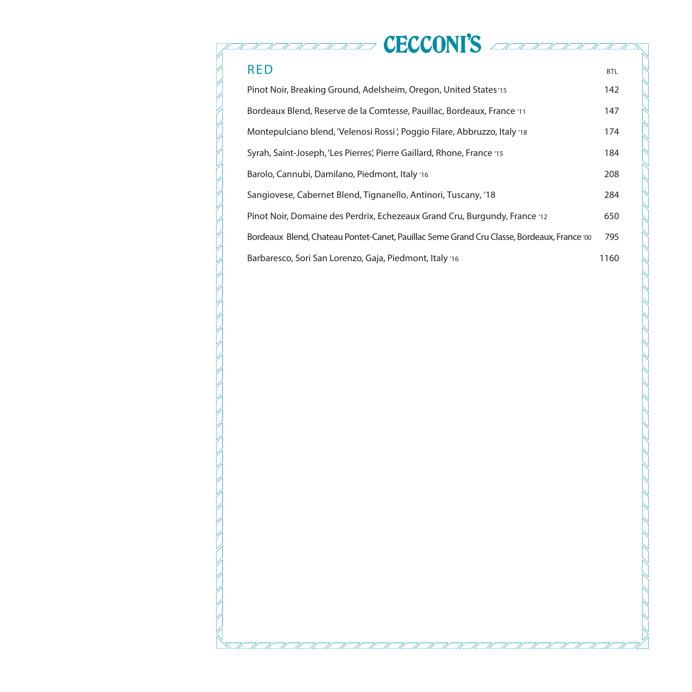## **CECCONI'S** addressed RED BTL Pinot Noir, Breaking Ground, Adelsheim, Oregon, United States '15 142

| Bordeaux Blend, Reserve de la Comtesse, Pauillac, Bordeaux, France '11                    | 147  |
|-------------------------------------------------------------------------------------------|------|
| Montepulciano blend, 'Velenosi Rossi', Poggio Filare, Abbruzzo, Italy '18                 | 174  |
| Syrah, Saint-Joseph, 'Les Pierres', Pierre Gaillard, Rhone, France '15                    | 184  |
| Barolo, Cannubi, Damilano, Piedmont, Italy '16                                            | 208  |
| Sangiovese, Cabernet Blend, Tignanello, Antinori, Tuscany, '18                            | 284  |
| Pinot Noir, Domaine des Perdrix, Echezeaux Grand Cru, Burgundy, France 12                 | 650  |
| Bordeaux Blend, Chateau Pontet-Canet, Pauillac 5eme Grand Cru Classe, Bordeaux, France to | 795  |
| Barbaresco, Sori San Lorenzo, Gaja, Piedmont, Italy '16                                   | 1160 |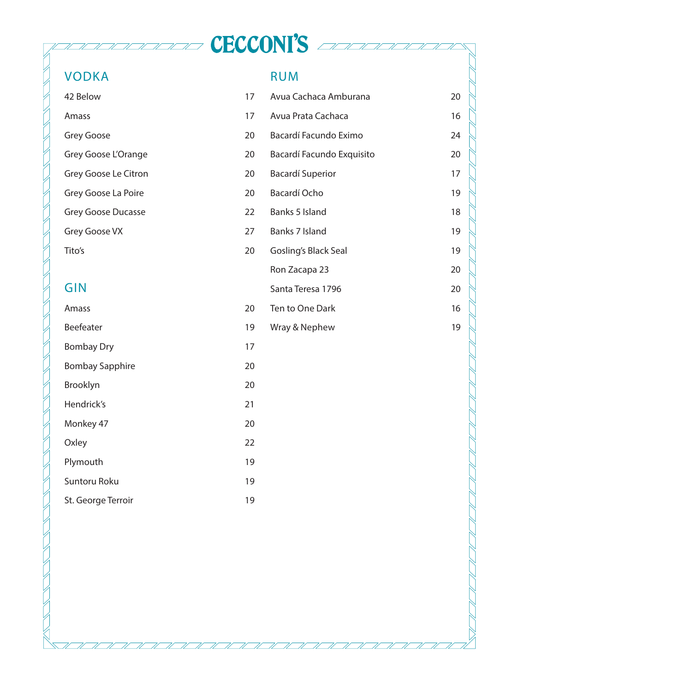### VODKA

#### RUM

**TECCONI'S** Addressed

| 42 Below                  | 17 | Avua Cachaca Amburana     | 20 |
|---------------------------|----|---------------------------|----|
| Amass                     | 17 | Avua Prata Cachaca        | 16 |
| Grey Goose                | 20 | Bacardí Facundo Eximo     | 24 |
| Grey Goose L'Orange       | 20 | Bacardí Facundo Exquisito | 20 |
| Grey Goose Le Citron      | 20 | <b>Bacardí Superior</b>   | 17 |
| Grey Goose La Poire       | 20 | Bacardí Ocho              | 19 |
| <b>Grey Goose Ducasse</b> | 22 | Banks 5 Island            | 18 |
| Grey Goose VX             | 27 | Banks 7 Island            | 19 |
| Tito's                    | 20 | Gosling's Black Seal      | 19 |
|                           |    | Ron Zacapa 23             | 20 |
| GIN                       |    | Santa Teresa 1796         | 20 |
| Amass                     | 20 | Ten to One Dark           | 16 |
| Beefeater                 | 19 | Wray & Nephew             | 19 |
| <b>Bombay Dry</b>         | 17 |                           |    |
| <b>Bombay Sapphire</b>    | 20 |                           |    |
| Brooklyn                  | 20 |                           |    |
| Hendrick's                | 21 |                           |    |
| Monkey 47                 | 20 |                           |    |
| Oxley                     | 22 |                           |    |
| Plymouth                  | 19 |                           |    |
| Suntoru Roku              | 19 |                           |    |
| St. George Terroir        | 19 |                           |    |
|                           |    |                           |    |

71  $\overline{\mathscr{U}}$  $\overline{u}$ N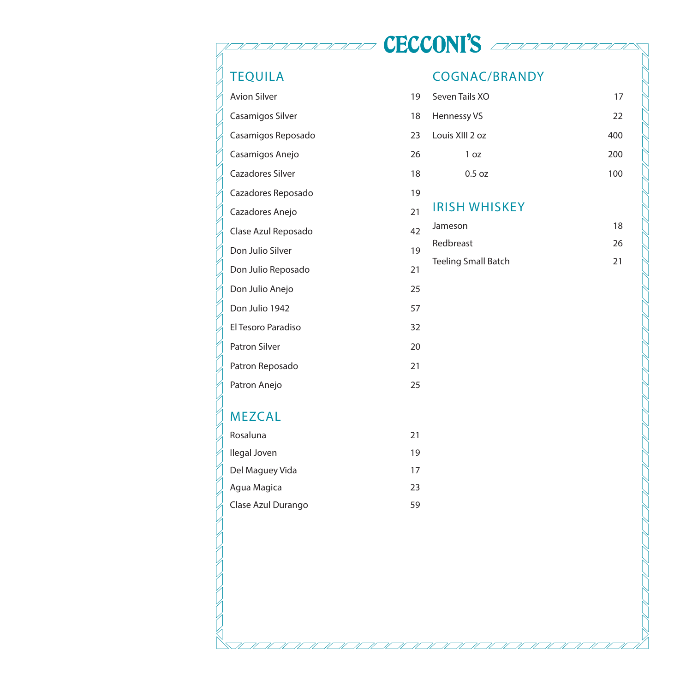## TEQUILA

## Avion Silver Casamigos Silver Casamigos Reposado Casamigos Anejo Cazadores Silver Cazadores Reposado Cazadores Anejo Clase Azul Reposado Don Julio Silver Don Julio Reposado Don Julio Anejo Don Julio 1942 El Tesoro Paradiso 32 Patron Silver Patron Reposado

HANNAN HAN

71

## MEZCAL

Patron Anejo

| Rosaluna           | 21 |
|--------------------|----|
| llegal Joven       | 19 |
| Del Maguey Vida    | 17 |
| Agua Magica        | 23 |
| Clase Azul Durango | 59 |

#### COGNAC/BRANDY

**TECCONI'S** Advised

| 19 | Seven Tails XO             | 17  |
|----|----------------------------|-----|
| 18 | Hennessy VS                | 22  |
| 23 | Louis XIII 2 oz            | 400 |
| 26 | 1 oz                       | 200 |
| 18 | 0.5 oz                     | 100 |
| 19 |                            |     |
| 21 | <b>IRISH WHISKEY</b>       |     |
| 42 | Jameson                    | 18  |
| 19 | Redbreast                  | 26  |
| 21 | <b>Teeling Small Batch</b> | 21  |
| 25 |                            |     |
| 57 |                            |     |
| 32 |                            |     |
| 20 |                            |     |
| 21 |                            |     |
| 25 |                            |     |
|    |                            |     |
|    |                            |     |
| 21 |                            |     |
| 19 |                            |     |
| 17 |                            |     |
| 23 |                            |     |
| 59 |                            |     |
|    |                            |     |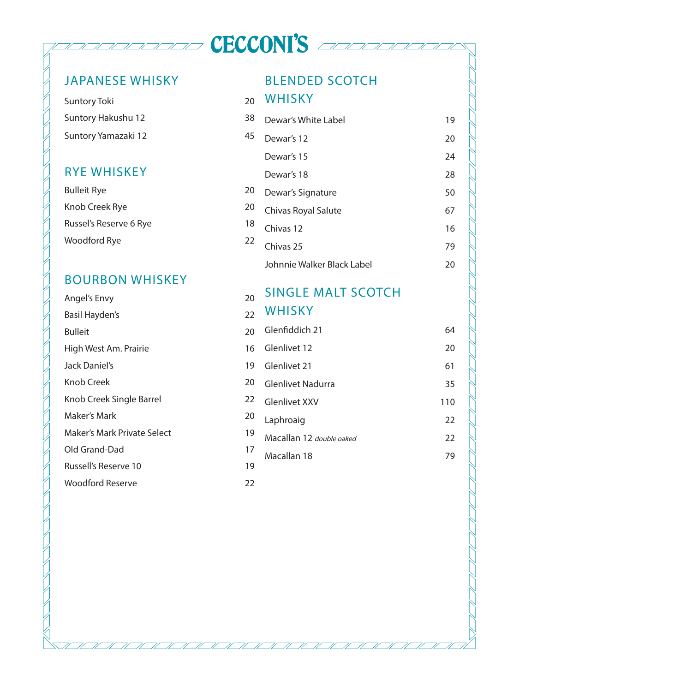## JAPANESE WHISKY

Suntory Toki Suntory Hakushu 12 38 Suntory Yamazaki 12 45

#### RYE WHISKEY

| Bulleit Rye            | 20 |
|------------------------|----|
| Knob Creek Rye         | 20 |
| Russel's Reserve 6 Rye | 18 |
| Woodford Rye           | 22 |

## BOURBON WHISKEY

| Angel's Envy                | 20 | <b>SINGLE MALI SUUTUN</b> |
|-----------------------------|----|---------------------------|
| Basil Hayden's              | 22 | WHISKY                    |
| <b>Bulleit</b>              | 20 | Glenfiddich 21            |
| High West Am. Prairie       | 16 | Glenlivet 12              |
| Jack Daniel's               | 19 | Glenlivet 21              |
| Knob Creek                  | 20 | Glenlivet Nadurra         |
| Knob Creek Single Barrel    | 22 | <b>Glenlivet XXV</b>      |
| Maker's Mark                | 20 | Laphroaig                 |
| Maker's Mark Private Select | 19 | Macallan 12 double oaked  |
| Old Grand-Dad               | 17 | Macallan 18               |
| Russell's Reserve 10        | 19 |                           |
| Woodford Reserve            | 22 |                           |
|                             |    |                           |

#### BLENDED SCOTCH

#### <sub>20</sub> WHISKY

**TECCONI'S** Address

| Dewar's White Label        | 19 |
|----------------------------|----|
| Dewar's 12                 | 20 |
| Dewar's 15                 | 24 |
| Dewar's 18                 | 28 |
| Dewar's Signature          | 50 |
| Chivas Royal Salute        | 67 |
| Chivas 12                  | 16 |
| Chivas 25                  | 79 |
| Johnnie Walker Black Label | 20 |

## SINGLE MALT SCOTCH

| WHISKY                   |     |
|--------------------------|-----|
| Glenfiddich 21           | 64  |
| Glenlivet 12             | 20  |
| Glenlivet 21             | 61  |
| <b>Glenlivet Nadurra</b> | 35  |
| Glenlivet XXV            | 110 |
| Laphroaig                | 22  |
| Macallan 12 double oaked | 22  |
| Macallan 18              | 79  |
|                          |     |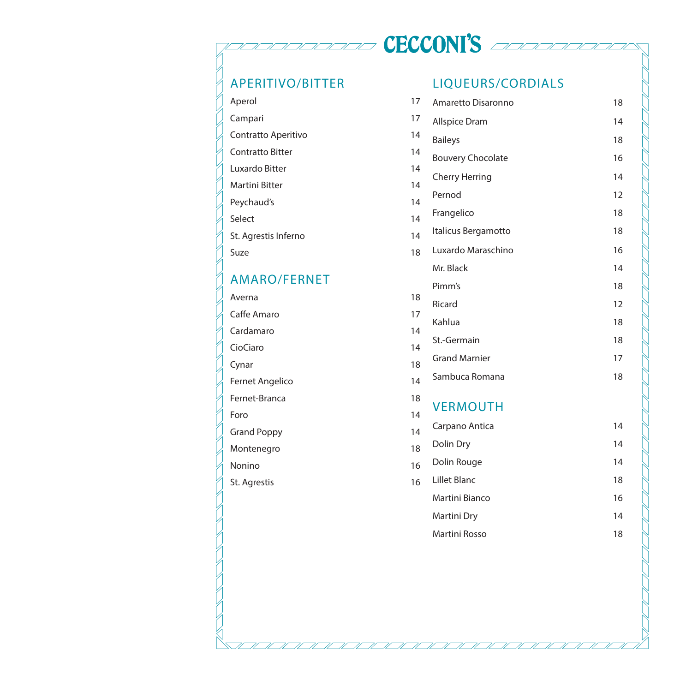# **CECCONI'S** account

 $\mathcal{U}$  Il Il Il Il

 $\overline{\mathscr{U}}$ 

 $\overline{\mathscr{U}}$ 

## APERITIVO/BITTER

| Aperol                  | 17 |
|-------------------------|----|
| Campari                 | 17 |
| Contratto Aperitivo     | 14 |
| <b>Contratto Bitter</b> | 14 |
| Luxardo Bitter          | 14 |
| <b>Martini Bitter</b>   | 14 |
| Peychaud's              | 14 |
| Select                  | 14 |
| St. Agrestis Inferno    | 14 |
| Suze                    | 18 |
|                         |    |

## AMARO/FERNET

Averna Caffe Amaro Cardamaro CioCiaro Cynar Fernet Angelico Fernet-Branca Foro 14 Grand Poppy Montenegro Nonino St. Agrestis

### LIQUEURS/CORDIALS

| 17                                 | Amaretto Disaronno       | 18 |
|------------------------------------|--------------------------|----|
| 17                                 | Allspice Dram            | 14 |
| $\overline{14}$                    | <b>Baileys</b>           | 18 |
| 14                                 | <b>Bouvery Chocolate</b> | 16 |
| 14                                 | Cherry Herring           | 14 |
| $\overline{14}$<br>$\overline{14}$ | Pernod                   | 12 |
| $\overline{14}$                    | Frangelico               | 18 |
| $\overline{14}$                    | Italicus Bergamotto      | 18 |
| 18                                 | Luxardo Maraschino       | 16 |
|                                    | Mr. Black                | 14 |
|                                    | Pimm's                   | 18 |
| 18                                 | Ricard                   | 12 |
| 17<br>$\overline{14}$              | Kahlua                   | 18 |
| $\overline{14}$                    | St.-Germain              | 18 |
| 18                                 | <b>Grand Marnier</b>     | 17 |
| 14                                 | Sambuca Romana           | 18 |
| 18<br>$\overline{14}$              | <b>VERMOUTH</b>          |    |
| $\overline{14}$                    | Carpano Antica           | 14 |
| 18                                 | Dolin Dry                | 14 |
| 16                                 | Dolin Rouge              | 14 |
| 16                                 | Lillet Blanc             | 18 |
|                                    | <b>Martini Bianco</b>    | 16 |
|                                    | Martini Dry              | 14 |
|                                    | Martini Rosso            | 18 |